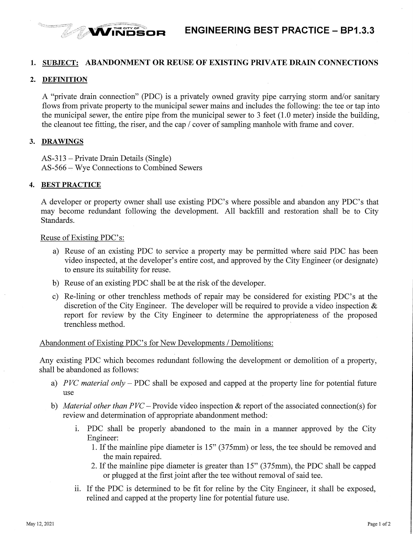

## **1. SUBJECT: ABANDONMENT OR REUSE OF EXISTING PRIVATE DRAIN CONNECTIONS**

### **2. DEFINITION**

<sup>Samura</sup> Ga<sup>r</sup>

A "private drain connection" (PDC) is a privately owned gravity pipe carrying storm and/or sanitary flows from private property to the municipal sewer mains and includes the following: the tee or tap into the municipal sewer, the entire pipe from the municipal sewer to 3 feet (1.0 meter) inside the building, the cleanout tee fitting, the riser, and the cap/ cover of sampling manhole with frame and cover.

### **3. DRAWINGS**

AS-313 -Private Drain Details (Single) AS-566 - Wye Connections to Combined Sewers

#### **4. BEST PRACTICE**

A developer or property owner shall use existing PDC's where possible and abandon any PDC's that may become redundant following the development. All backfill and restoration shall be to City Standards.

### Reuse of Existing PDC's:

- a) Reuse of an existing PDC to service a property may be permitted where said PDC has been video inspected, at the developer's entire cost, and approved by the City Engineer (or designate) to ensure its suitability for reuse.
- b) Reuse of an existing PDC shall be at the risk of the developer.
- c) Re-lining or other trenchless methods of repair may be considered for existing PDC's at the discretion of the City Engineer. The developer will be required to provide a video inspection  $\&$ report for review by the City Engineer to determine the appropriateness of the proposed trenchless method.

## Abandonment of Existing PDC's for New Developments / Demolitions:

Any existing PDC which becomes redundant following the development or demolition of a property, shall be abandoned as follows:

- a) *PVC material only*  PDC shall be exposed and capped at the property line for potential future use
- b) *Material other than PVC* Provide video inspection & report of the associated connection(s) for review and determination of appropriate abandonment method:
	- 1. PDC shall be properly abandoned to the main in a manner approved by the City Engineer:
		- 1. Ifthe mainline pipe diameter is 15" (375mm) or less, the tee should be removed and the main repaired.
		- 2. If the mainline pipe diameter is greater than 15" (375mm), the PDC shall be capped or plugged at the first joint after the tee without removal of said tee.
	- ii. If the PDC is determined to be fit for reline by the City Engineer, it shall be exposed, relined and capped at the property line for potential future use.